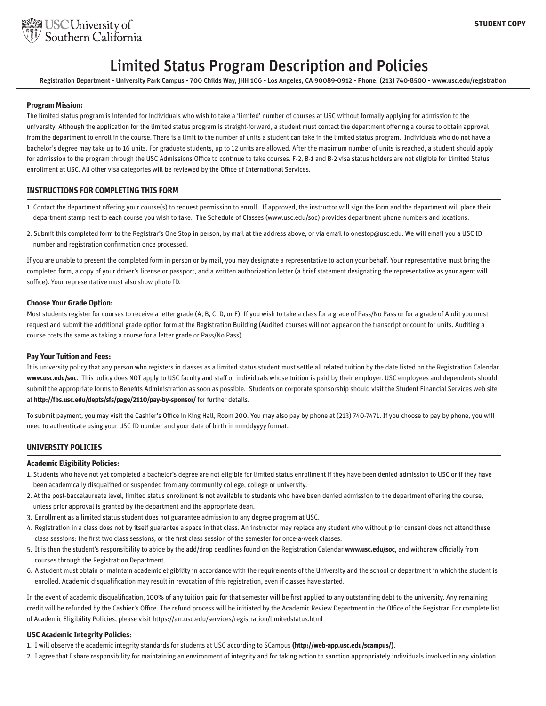

# Limited Status Program Description and Policies

Registration Department • University Park Campus • 700 Childs Way, JHH 106 • Los Angeles, CA 90089-0912 • Phone: (213) 740-8500 • www.usc.edu/registration

### **Program Mission:**

The limited status program is intended for individuals who wish to take a 'limited' number of courses at USC without formally applying for admission to the university. Although the application for the limited status program is straight-forward, a student must contact the department offering a course to obtain approval from the department to enroll in the course. There is a limit to the number of units a student can take in the limited status program. Individuals who do not have a bachelor's degree may take up to 16 units. For graduate students, up to 12 units are allowed. After the maximum number of units is reached, a student should apply for admission to the program through the USC Admissions Office to continue to take courses. F-2, B-1 and B-2 visa status holders are not eligible for Limited Status enrollment at USC. All other visa categories will be reviewed by the Office of International Services.

# **INSTRUCTIONS FOR COMPLETING THIS FORM**

- 1. Contact the department offering your course(s) to request permission to enroll. If approved, the instructor will sign the form and the department will place their department stamp next to each course you wish to take. The Schedule of Classes (www.usc.edu/soc) provides department phone numbers and locations.
- 2. Submit this completed form to the Registrar's One Stop in person, by mail at the address above, or via email to onestop@usc.edu. We will email you a USC ID number and registration confirmation once processed.

If you are unable to present the completed form in person or by mail, you may designate a representative to act on your behalf. Your representative must bring the completed form, a copy of your driver's license or passport, and a written authorization letter (a brief statement designating the representative as your agent will suffice). Your representative must also show photo ID.

#### **Choose Your Grade Option:**

Most students register for courses to receive a letter grade (A, B, C, D, or F). If you wish to take a class for a grade of Pass/No Pass or for a grade of Audit you must request and submit the additional grade option form at the Registration Building (Audited courses will not appear on the transcript or count for units. Auditing a course costs the same as taking a course for a letter grade or Pass/No Pass).

#### **Pay Your Tuition and Fees:**

It is university policy that any person who registers in classes as a limited status student must settle all related tuition by the date listed on the Registration Calendar **www.usc.edu/soc**. This policy does NOT apply to USC faculty and staff or individuals whose tuition is paid by their employer. USC employees and dependents should submit the appropriate forms to Benefits Administration as soon as possible. Students on corporate sponsorship should visit the Student Financial Services web site at **http://fbs.usc.edu/depts/sfs/page/2110/pay-by-sponsor/** for further details.

To submit payment, you may visit the Cashier's Office in King Hall, Room 200. You may also pay by phone at (213) 740-7471. If you choose to pay by phone, you will need to authenticate using your USC ID number and your date of birth in mmddyyyy format.

#### **UNIVERSITY POLICIES**

#### **Academic Eligibility Policies:**

- 1. Students who have not yet completed a bachelor's degree are not eligible for limited status enrollment if they have been denied admission to USC or if they have been academically disqualified or suspended from any community college, college or university.
- 2. At the post-baccalaureate level, limited status enrollment is not available to students who have been denied admission to the department offering the course, unless prior approval is granted by the department and the appropriate dean.
- 3. Enrollment as a limited status student does not guarantee admission to any degree program at USC.
- 4. Registration in a class does not by itself guarantee a space in that class. An instructor may replace any student who without prior consent does not attend these class sessions: the first two class sessions, or the first class session of the semester for once-a-week classes.
- 5. It is then the student's responsibility to abide by the add/drop deadlines found on the Registration Calendar **www.usc.edu/soc**, and withdraw officially from courses through the Registration Department.
- 6. A student must obtain or maintain academic eligibility in accordance with the requirements of the University and the school or department in which the student is enrolled. Academic disqualification may result in revocation of this registration, even if classes have started.

In the event of academic disqualification, 100% of any tuition paid for that semester will be first applied to any outstanding debt to the university. Any remaining credit will be refunded by the Cashier's Office. The refund process will be initiated by the Academic Review Department in the Office of the Registrar. For complete list of Academic Eligibility Policies, please visit https://arr.usc.edu/services/registration/limitedstatus.html

#### **USC Academic Integrity Policies:**

- 1. I will observe the academic integrity standards for students at USC according to SCampus **(http://web-app.usc.edu/scampus/)**.
- 2. I agree that I share responsibility for maintaining an environment of integrity and for taking action to sanction appropriately individuals involved in any violation.